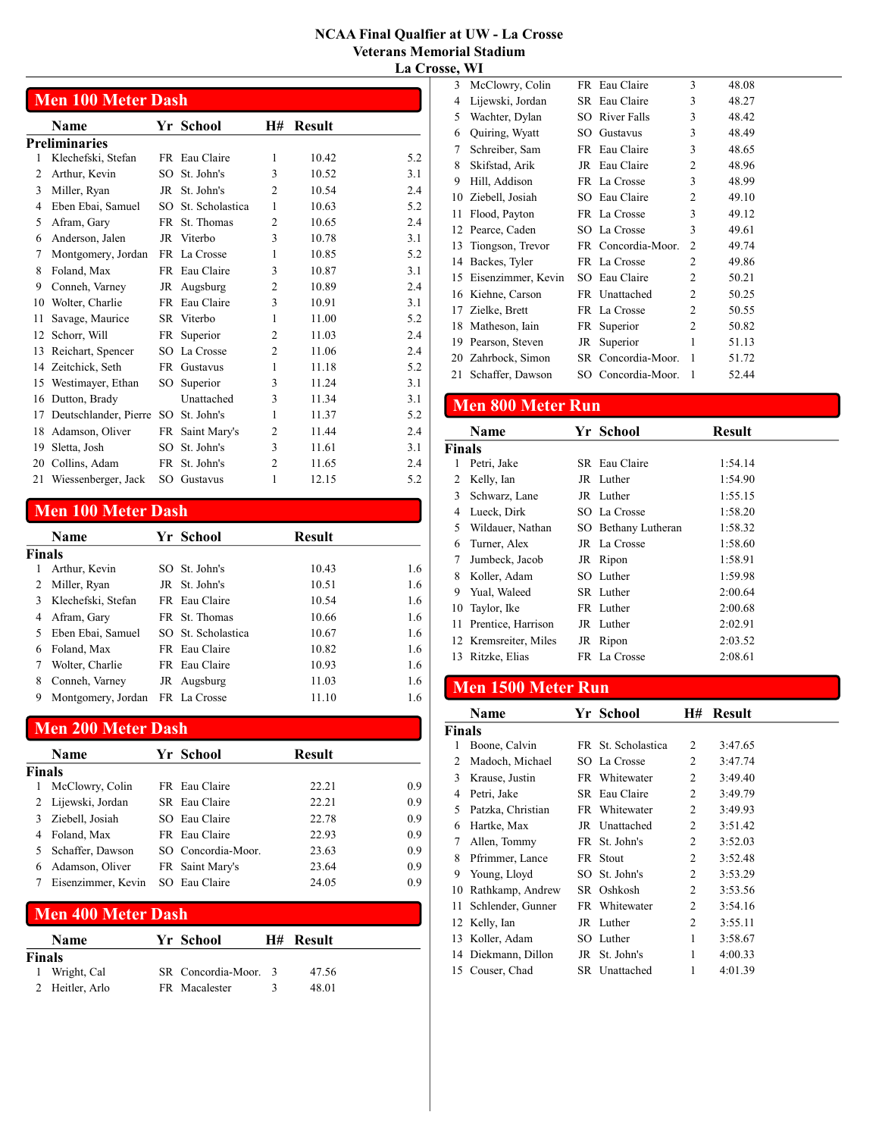|    | <b>Men 100 Meter Dash</b> |           |                 |                |               |     |
|----|---------------------------|-----------|-----------------|----------------|---------------|-----|
|    | Name                      |           | Yr School       | <b>H#</b>      | <b>Result</b> |     |
|    | Preliminaries             |           |                 |                |               |     |
| 1  | Klechefski, Stefan        |           | FR Eau Claire   | 1              | 10.42         | 5.2 |
| 2  | Arthur, Kevin             | $SO^-$    | St. John's      | 3              | 10.52         | 3.1 |
| 3  | Miller, Ryan              | JR        | St. John's      | $\overline{c}$ | 10.54         | 2.4 |
| 4  | Eben Ebai, Samuel         | SO.       | St. Scholastica | 1              | 10.63         | 5.2 |
| 5  | Afram, Gary               | <b>FR</b> | St. Thomas      | 2              | 10.65         | 2.4 |
| 6  | Anderson, Jalen           | JR        | Viterbo         | 3              | 10.78         | 3.1 |
| 7  | Montgomery, Jordan        |           | FR La Crosse    | 1              | 10.85         | 5.2 |
| 8  | Foland, Max               |           | FR Eau Claire   | 3              | 10.87         | 3.1 |
| 9  | Conneh, Varney            | JR        | Augsburg        | $\overline{c}$ | 10.89         | 2.4 |
| 10 | Wolter, Charlie           |           | FR Eau Claire   | 3              | 10.91         | 3.1 |
| 11 | Savage, Maurice           |           | SR Viterbo      | 1              | 11.00         | 5.2 |
| 12 | Schorr, Will              | FR        | Superior        | 2              | 11.03         | 2.4 |
| 13 | Reichart, Spencer         | SO.       | La Crosse       | 2              | 11.06         | 2.4 |
| 14 | Zeitchick, Seth           |           | FR Gustavus     | 1              | 11.18         | 5.2 |
| 15 | Westimayer, Ethan         | SO        | Superior        | 3              | 11.24         | 3.1 |
| 16 | Dutton, Brady             |           | Unattached      | 3              | 11.34         | 3.1 |
| 17 | Deutschlander, Pierre SO  |           | St. John's      | 1              | 11.37         | 5.2 |
| 18 | Adamson, Oliver           | <b>FR</b> | Saint Mary's    | 2              | 11.44         | 2.4 |
| 19 | Sletta, Josh              | SO.       | St. John's      | 3              | 11.61         | 3.1 |
| 20 | Collins, Adam             | FR        | St. John's      | 2              | 11.65         | 2.4 |
| 21 | Wiessenberger, Jack       |           | SO Gustavus     | 1              | 12.15         | 5.2 |

### Men 100 Meter Dash

|               | Name               |    | Yr School          | Result |     |
|---------------|--------------------|----|--------------------|--------|-----|
| <b>Finals</b> |                    |    |                    |        |     |
|               | Arthur, Kevin      |    | SO St. John's      | 10.43  | 1.6 |
|               | Miller, Ryan       |    | JR St. John's      | 10.51  | 1.6 |
|               | Klechefski, Stefan |    | FR Eau Claire      | 10.54  | 1.6 |
| 4             | Afram, Gary        |    | FR St. Thomas      | 10.66  | 1.6 |
| 5             | Eben Ebai, Samuel  |    | SO St. Scholastica | 10.67  | 1.6 |
| 6             | Foland, Max        |    | FR Eau Claire      | 10.82  | 1.6 |
|               | Wolter, Charlie    |    | FR Eau Claire      | 10.93  | 1.6 |
| 8             | Conneh, Varney     | JR | Augsburg           | 11.03  | 1.6 |
| 9             | Montgomery, Jordan |    | FR La Crosse       | 11.10  | 1.6 |

### Men 200 Meter Dash

|               | Name               | Yr School          | Result |     |
|---------------|--------------------|--------------------|--------|-----|
| <b>Finals</b> |                    |                    |        |     |
|               | McClowry, Colin    | FR Eau Claire      | 22.21  | 0.9 |
|               | Lijewski, Jordan   | SR Eau Claire      | 22.21  | 0.9 |
|               | Ziebell, Josiah    | SO Eau Claire      | 22.78  | 0.9 |
|               | Foland, Max        | FR Eau Claire      | 22.93  | 0.9 |
|               | Schaffer, Dawson   | SO Concordia-Moor. | 23.63  | 0.9 |
| 6             | Adamson, Oliver    | FR Saint Mary's    | 23.64  | 0.9 |
|               | Eisenzimmer, Kevin | SO Eau Claire      | 24.05  | 0.9 |

### Men 400 Meter Dash

|               | <b>Name</b>     | Yr School            | H# Result |
|---------------|-----------------|----------------------|-----------|
| <b>Finals</b> |                 |                      |           |
|               | 1 Wright, Cal   | SR Concordia-Moor. 3 | 47.56     |
|               | 2 Heitler, Arlo | <b>FR</b> Macalester | 48.01     |

| ,,,,, | <b>VV 1</b>           |                    |                |       |
|-------|-----------------------|--------------------|----------------|-------|
| 3     | McClowry, Colin       | FR Eau Claire      | 3              | 48.08 |
| 4     | Lijewski, Jordan      | SR Eau Claire      | 3              | 48.27 |
| 5     | Wachter, Dylan        | SO River Falls     | 3              | 48.42 |
| 6     | Quiring, Wyatt        | SO Gustavus        | 3              | 48.49 |
| 7     | Schreiber, Sam        | FR Eau Claire      | 3              | 48.65 |
| 8     | Skifstad, Arik        | JR Eau Claire      | 2              | 48.96 |
| 9     | Hill, Addison         | FR La Crosse       | 3              | 48.99 |
| 10    | Ziebell, Josiah       | SO Eau Claire      | $\overline{c}$ | 49.10 |
| 11    | Flood, Payton         | FR La Crosse       | 3              | 49.12 |
|       | 12 Pearce, Caden      | SO La Crosse       | 3              | 49.61 |
|       | 13 Tiongson, Trevor   | FR Concordia-Moor. | $\overline{c}$ | 49.74 |
|       | 14 Backes, Tyler      | FR La Crosse       | $\overline{c}$ | 49.86 |
|       | 15 Eisenzimmer, Kevin | SO Eau Claire      | 2              | 50.21 |
| 16    | Kiehne, Carson        | FR Unattached      | 2              | 50.25 |
| 17    | Zielke, Brett         | FR La Crosse       | 2              | 50.55 |
| 18    | Matheson, Iain        | FR Superior        | 2              | 50.82 |
| 19    | Pearson, Steven       | JR Superior        | 1              | 51.13 |
| 20    | Zahrbock, Simon       | SR Concordia-Moor. | 1              | 51.72 |
| 21    | Schaffer, Dawson      | SO Concordia-Moor. | 1              | 52.44 |

### Men 800 Meter Run

|               | <b>Name</b>           | Yr School           | <b>Result</b> |
|---------------|-----------------------|---------------------|---------------|
| <b>Finals</b> |                       |                     |               |
|               | Petri, Jake           | SR Eau Claire       | 1:54.14       |
|               | Kelly, Ian            | JR Luther           | 1:54.90       |
| 3             | Schwarz, Lane         | JR Luther           | 1:55.15       |
| 4             | Lueck, Dirk           | SO La Crosse        | 1:58.20       |
| 5             | Wildauer, Nathan      | SO Bethany Lutheran | 1:58.32       |
| 6             | Turner, Alex          | JR La Crosse        | 1:58.60       |
| 7             | Jumbeck, Jacob        | JR Ripon            | 1:58.91       |
| 8             | Koller, Adam          | SO Luther           | 1:59.98       |
| 9             | Yual, Waleed          | SR Luther           | 2:00.64       |
| 10            | Taylor, Ike           | FR Luther           | 2:00.68       |
|               | 11 Prentice, Harrison | JR Luther           | 2:02.91       |
|               | 12 Kremsreiter, Miles | JR Ripon            | 2:03.52       |
| 13            | Ritzke, Elias         | FR La Crosse        | 2:08.61       |
|               |                       |                     |               |

## Men 1500 Meter Run

|                | <b>Name</b>         | Yr School          | H#             | <b>Result</b> |
|----------------|---------------------|--------------------|----------------|---------------|
| Finals         |                     |                    |                |               |
| 1              | Boone, Calvin       | FR St. Scholastica | 2              | 3:47.65       |
| $\overline{c}$ | Madoch, Michael     | SO La Crosse       | 2              | 3:47.74       |
| 3              | Krause, Justin      | FR Whitewater      | 2              | 3:49.40       |
| 4              | Petri, Jake         | SR Eau Claire      | 2              | 3:49.79       |
| 5              | Patzka, Christian   | FR Whitewater      | 2              | 3:49.93       |
| 6              | Hartke, Max         | JR Unattached      | 2              | 3:51.42       |
| 7              | Allen, Tommy        | FR St. John's      | 2              | 3:52.03       |
| 8              | Pfrimmer, Lance     | FR Stout           | 2              | 3:52.48       |
| 9              | Young, Lloyd        | SO St. John's      | $\overline{c}$ | 3:53.29       |
| 10             | Rathkamp, Andrew    | SR Oshkosh         | 2              | 3:53.56       |
| 11             | Schlender, Gunner   | FR Whitewater      | 2              | 3:54.16       |
|                | 12 Kelly, Ian       | JR Luther          | 2              | 3:55.11       |
| 13             | Koller, Adam        | SO Luther          | 1              | 3:58.67       |
|                | 14 Diekmann, Dillon | JR St. John's      | 1              | 4:00.33       |
|                | 15 Couser, Chad     | SR Unattached      | 1              | 4:01.39       |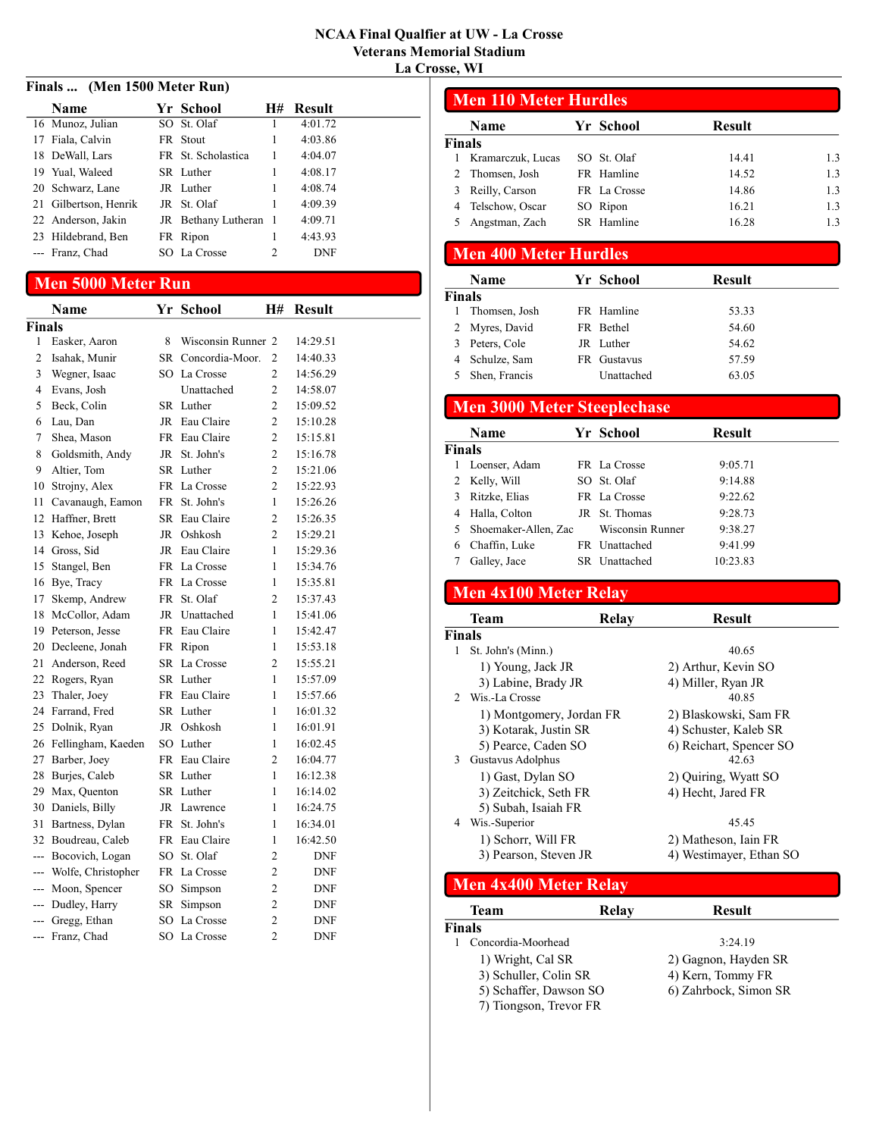#### Finals ... (Men 1500 Meter Run)

| <b>Name</b>           | Yr School             | H#             | <b>Result</b> |
|-----------------------|-----------------------|----------------|---------------|
| 16 Munoz, Julian      | SO St. Olaf           |                | 4:01.72       |
| 17 Fiala, Calvin      | FR Stout              |                | 4:03.86       |
| 18 DeWall, Lars       | FR St. Scholastica    | 1              | 4:04.07       |
| 19 Yual, Waleed       | SR Luther             | 1              | 4:08.17       |
| 20 Schwarz, Lane      | JR Luther             |                | 4:08.74       |
| 21 Gilbertson, Henrik | JR St. Olaf           |                | 4:09.39       |
| 22 Anderson, Jakin    | JR Bethany Lutheran 1 |                | 4:09.71       |
| 23 Hildebrand, Ben    | FR Ripon              | 1              | 4:43.93       |
| --- Franz, Chad       | SO La Crosse          | $\mathfrak{D}$ | <b>DNF</b>    |

### Men 5000 Meter Run

|                | Name                  | Yr  | <b>School</b>      | <b>H#</b>      | <b>Result</b> |
|----------------|-----------------------|-----|--------------------|----------------|---------------|
| <b>Finals</b>  |                       |     |                    |                |               |
| 1              | Easker, Aaron         | 8   | Wisconsin Runner 2 |                | 14:29.51      |
| $\overline{2}$ | Isahak, Munir         | SR. | Concordia-Moor.    | $\overline{2}$ | 14:40.33      |
| 3              | Wegner, Isaac         |     | SO La Crosse       | $\overline{2}$ | 14:56.29      |
| 4              | Evans, Josh           |     | Unattached         | $\overline{2}$ | 14:58.07      |
| 5              | Beck, Colin           |     | SR Luther          | $\overline{2}$ | 15:09.52      |
| 6              | Lau, Dan              | JR  | Eau Claire         | $\overline{2}$ | 15:10.28      |
| 7              | Shea, Mason           |     | FR Eau Claire      | $\overline{2}$ | 15:15.81      |
| 8              | Goldsmith, Andy       | JR  | St. John's         | $\overline{c}$ | 15:16.78      |
| 9              | Altier, Tom           |     | SR Luther          | $\overline{2}$ | 15:21.06      |
| 10             | Strojny, Alex         |     | FR La Crosse       | $\overline{2}$ | 15:22.93      |
| 11             | Cavanaugh, Eamon      | FR  | St. John's         | 1              | 15:26.26      |
| 12             | Haffner, Brett        | SR  | Eau Claire         | $\overline{2}$ | 15:26.35      |
| 13             | Kehoe, Joseph         | JR  | Oshkosh            | 2              | 15:29.21      |
| 14             | Gross, Sid            | JR  | Eau Claire         | 1              | 15:29.36      |
| 15             | Stangel, Ben          | FR  | La Crosse          | 1              | 15:34.76      |
|                | 16 Bye, Tracy         | FR  | La Crosse          | 1              | 15:35.81      |
|                | 17 Skemp, Andrew      | FR  | St. Olaf           | 2              | 15:37.43      |
| 18             | McCollor, Adam        | JR  | Unattached         | 1              | 15:41.06      |
|                | 19 Peterson, Jesse    | FR  | Eau Claire         | 1              | 15:42.47      |
|                | 20 Decleene, Jonah    | FR  | Ripon              | 1              | 15:53.18      |
| 21             | Anderson, Reed        | SR  | La Crosse          | $\overline{2}$ | 15:55.21      |
| 22             | Rogers, Ryan          | SR  | Luther             | 1              | 15:57.09      |
| 23             | Thaler, Joey          | FR  | Eau Claire         | 1              | 15:57.66      |
|                | 24 Farrand, Fred      |     | SR Luther          | 1              | 16:01.32      |
|                | 25 Dolnik, Ryan       | JR  | Oshkosh            | 1              | 16:01.91      |
|                | 26 Fellingham, Kaeden |     | SO Luther          | 1              | 16:02.45      |
| 27             | Barber, Joey          |     | FR Eau Claire      | $\overline{2}$ | 16:04.77      |
| 28             | Burjes, Caleb         |     | SR Luther          | 1              | 16:12.38      |
| 29             | Max, Quenton          |     | SR Luther          | 1              | 16:14.02      |
|                | 30 Daniels, Billy     | JR  | Lawrence           | 1              | 16:24.75      |
| 31             | Bartness, Dylan       | FR  | St. John's         | 1              | 16:34.01      |
|                | 32 Boudreau, Caleb    |     | FR Eau Claire      | 1              | 16:42.50      |
|                | --- Bocovich, Logan   | SO. | St. Olaf           | $\overline{2}$ | <b>DNF</b>    |
| $---$          | Wolfe, Christopher    | FR  | La Crosse          | $\overline{2}$ | <b>DNF</b>    |
| $---$          | Moon, Spencer         | SO  | Simpson            | $\overline{2}$ | DNF           |
| $---$          | Dudley, Harry         | SR  | Simpson            | 2              | <b>DNF</b>    |
| $-$            | Gregg, Ethan          |     | SO La Crosse       | $\overline{c}$ | <b>DNF</b>    |
|                | --- Franz, Chad       |     | SO La Crosse       | $\overline{2}$ | DNF           |

| <b>Men 110 Meter Hurdles</b> |                   |              |               |     |  |  |  |  |
|------------------------------|-------------------|--------------|---------------|-----|--|--|--|--|
|                              | <b>Name</b>       | Yr School    | <b>Result</b> |     |  |  |  |  |
| Finals                       |                   |              |               |     |  |  |  |  |
|                              | Kramarczuk, Lucas | SO St. Olaf  | 14.41         | 1.3 |  |  |  |  |
|                              | 2 Thomsen, Josh   | FR Hamline   | 14.52         | 1.3 |  |  |  |  |
|                              | Reilly, Carson    | FR La Crosse | 14.86         | 1.3 |  |  |  |  |
|                              | Telschow, Oscar   | SO Ripon     | 16.21         | 1.3 |  |  |  |  |
|                              | Angstman, Zach    | SR Hamline   | 16.28         | 1.3 |  |  |  |  |

### Men 400 Meter Hurdles

|               | <b>Name</b>    | Yr School   | <b>Result</b> |  |
|---------------|----------------|-------------|---------------|--|
| <b>Finals</b> |                |             |               |  |
|               | Thomsen, Josh  | FR Hamline  | 53.33         |  |
|               | 2 Myres, David | FR Bethel   | 54.60         |  |
|               | Peters, Cole   | JR Luther   | 54.62         |  |
|               | Schulze, Sam   | FR Gustavus | 57.59         |  |
|               | Shen, Francis  | Unattached  | 63.05         |  |

### Men 3000 Meter Steeplechase

|               | Name                   | Yr School        | <b>Result</b> |
|---------------|------------------------|------------------|---------------|
| <b>Finals</b> |                        |                  |               |
|               | Loenser, Adam          | FR La Crosse     | 9:05.71       |
| 2             | Kelly, Will            | SO St. Olaf      | 9:14.88       |
|               | Ritzke, Elias          | FR La Crosse     | 9:22.62       |
| 4             | Halla, Colton          | JR St. Thomas    | 9:28.73       |
|               | 5 Shoemaker-Allen, Zac | Wisconsin Runner | 9:38.27       |
| 6             | Chaffin, Luke          | FR Unattached    | 9:41.99       |
|               | Galley, Jace           | SR Unattached    | 10:23.83      |

### Men 4x100 Meter Relay

|   | <b>Team</b>              | Relay | <b>Result</b>           |  |
|---|--------------------------|-------|-------------------------|--|
|   | Finals                   |       |                         |  |
| 1 | St. John's (Minn.)       |       | 40.65                   |  |
|   | 1) Young, Jack JR        |       | 2) Arthur, Kevin SO     |  |
|   | 3) Labine, Brady JR      |       | 4) Miller, Ryan JR      |  |
|   | 2 Wis.-La Crosse         |       | 40.85                   |  |
|   | 1) Montgomery, Jordan FR |       | 2) Blaskowski, Sam FR   |  |
|   | 3) Kotarak, Justin SR    |       | 4) Schuster, Kaleb SR   |  |
|   | 5) Pearce, Caden SO      |       | 6) Reichart, Spencer SO |  |
| 3 | Gustavus Adolphus        |       | 42.63                   |  |
|   | 1) Gast, Dylan SO        |       | 2) Quiring, Wyatt SO    |  |
|   | 3) Zeitchick, Seth FR    |       | 4) Hecht, Jared FR      |  |
|   | 5) Subah, Isaiah FR      |       |                         |  |
| 4 | Wis.-Superior            |       | 45.45                   |  |
|   | 1) Schorr, Will FR       |       | 2) Matheson, Iain FR    |  |
|   | 3) Pearson, Steven JR    |       | 4) Westimayer, Ethan SO |  |
|   |                          |       |                         |  |

#### Men 4x400 Meter Relay

|        | Team                   | Relay | <b>Result</b>         |  |
|--------|------------------------|-------|-----------------------|--|
| Finals |                        |       |                       |  |
|        | Concordia-Moorhead     |       | 3:24.19               |  |
|        | 1) Wright, Cal SR      |       | 2) Gagnon, Hayden SR  |  |
|        | 3) Schuller, Colin SR  |       | 4) Kern, Tommy FR     |  |
|        | 5) Schaffer, Dawson SO |       | 6) Zahrbock, Simon SR |  |
|        | 7) Tiongson, Trevor FR |       |                       |  |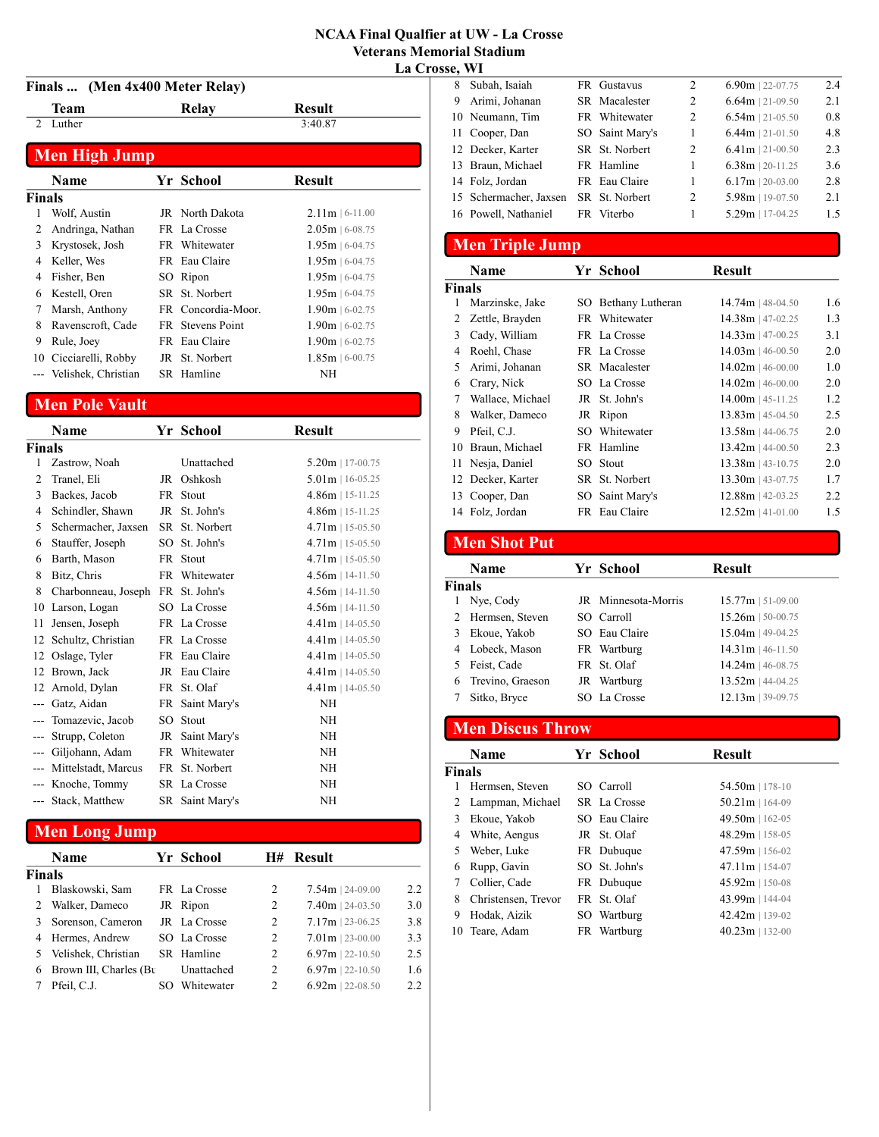#### Finals ... (Men 4x400 Meter Relay)

|                | Finals  (Men 4x400 Meter Relay) |  |                    |                   |  |
|----------------|---------------------------------|--|--------------------|-------------------|--|
|                | Team                            |  | <b>Relay</b>       | Result            |  |
| $\mathfrak{D}$ | Luther                          |  |                    | 3:40.87           |  |
|                | <b>Men High Jump</b>            |  |                    |                   |  |
|                | Name                            |  | Yr School          | <b>Result</b>     |  |
| Finals         |                                 |  |                    |                   |  |
| 1              | Wolf, Austin                    |  | JR North Dakota    | $2.11m$   6-11.00 |  |
| 2              | Andringa, Nathan                |  | FR La Crosse       | $2.05m$   6-08.75 |  |
| 3              | Krystosek, Josh                 |  | FR Whitewater      | $1.95m$   6-04.75 |  |
| 4              | Keller, Wes                     |  | FR Eau Claire      | $1.95m$   6-04.75 |  |
| 4              | Fisher, Ben                     |  | SO Ripon           | $1.95m$   6-04.75 |  |
| 6              | Kestell, Oren                   |  | SR St. Norbert     | $1.95m$   6-04.75 |  |
| 7              | Marsh, Anthony                  |  | FR Concordia-Moor. | $1.90m$   6-02.75 |  |
| 8              | Ravenscroft, Cade               |  | FR Stevens Point   | $1.90m$   6-02.75 |  |
| 9              | Rule, Joey                      |  | FR Eau Claire      | $1.90m$   6-02.75 |  |
| 10             | Cicciarelli, Robby              |  | JR St. Norbert     | $1.85m$   6-00.75 |  |
|                | Velishek, Christian             |  | SR Hamline         | ΝH                |  |

### Men Pole Vault

|               | Name                    | Yr School       | <b>Result</b>      |
|---------------|-------------------------|-----------------|--------------------|
| <b>Finals</b> |                         |                 |                    |
| 1             | Zastrow, Noah           | Unattached      | $5.20m$   17-00.75 |
| 2             | Tranel, Eli             | JR Oshkosh      | $5.01m$   16-05.25 |
| 3             | Backes, Jacob           | FR Stout        | $4.86m$   15-11.25 |
| 4             | Schindler, Shawn        | JR St. John's   | $4.86m$   15-11.25 |
| 5             | Schermacher, Jaxsen     | SR St. Norbert  | $4.71m$   15-05.50 |
| 6             | Stauffer, Joseph        | SO St. John's   | $4.71m$   15-05.50 |
| 6             | Barth, Mason            | FR Stout        | $4.71m$   15-05.50 |
| 8             | Bitz, Chris             | FR Whitewater   | $4.56m$   14-11.50 |
| 8             | Charbonneau, Joseph     | FR St. John's   | $4.56m$   14-11.50 |
| 10            | Larson, Logan           | SO La Crosse    | $4.56m$   14-11.50 |
| 11            | Jensen, Joseph          | FR La Crosse    | $4.41m$   14-05.50 |
| 12            | Schultz, Christian      | FR La Crosse    | $4.41m$   14-05.50 |
| 12            | Oslage, Tyler           | FR Eau Claire   | $4.41m$   14-05.50 |
|               | 12 Brown, Jack          | JR Eau Claire   | $4.41m$   14-05.50 |
| 12            | Arnold, Dylan           | FR St. Olaf     | $4.41m$   14-05.50 |
|               | --- Gatz, Aidan         | FR Saint Mary's | <b>NH</b>          |
|               | Tomazevic, Jacob        | SO Stout        | <b>NH</b>          |
|               | Strupp, Coleton         | JR Saint Mary's | <b>NH</b>          |
|               | Giljohann, Adam         | FR Whitewater   | NH                 |
|               | --- Mittelstadt, Marcus | FR St. Norbert  | <b>NH</b>          |
|               | --- Knoche, Tommy       | SR La Crosse    | NH                 |
| $---$         | Stack, Matthew          | SR Saint Mary's | ΝH                 |

## Men Long Jump

|        | <b>Name</b>            |     | Yr School    | H#             | <b>Result</b>      |      |
|--------|------------------------|-----|--------------|----------------|--------------------|------|
| Finals |                        |     |              |                |                    |      |
|        | Blaskowski, Sam        |     | FR La Crosse | 2              | $7.54m$   24-09.00 | 2.2  |
|        | Walker, Dameco         |     | JR Ripon     | 2              | $7.40m$   24-03.50 | 3.0  |
|        | Sorenson, Cameron      |     | JR La Crosse | 2              | $7.17m$   23-06.25 | 3.8  |
|        | Hermes, Andrew         |     | SO La Crosse | $\overline{c}$ | $7.01m$   23-00.00 | 3.3  |
|        | Velishek, Christian    |     | SR Hamline   | 2              | $6.97m$   22-10.50 | 2.5  |
| 6      | Brown III, Charles (Bu |     | Unattached   | 2              | $6.97m$   22-10.50 | 1.6  |
|        | Pfeil, C.J.            | SO. | Whitewater   | 2              | $6.92m$   22-08.50 | 2.2. |

| . |                        |                 |                |                    |     |
|---|------------------------|-----------------|----------------|--------------------|-----|
| 8 | Subah, Isaiah          | FR Gustavus     | $\overline{2}$ | $6.90m$   22-07.75 | 2.4 |
| 9 | Arimi, Johanan         | SR Macalester   | 2              | $6.64m$   21-09.50 | 2.1 |
|   | 10 Neumann, Tim        | FR Whitewater   | 2              | $6.54m$   21-05.50 | 0.8 |
|   | 11 Cooper, Dan         | SO Saint Mary's | 1              | $6.44m$   21-01.50 | 4.8 |
|   | 12 Decker, Karter      | SR St. Norbert  | 2              | $6.41m$   21-00.50 | 2.3 |
|   | 13 Braun, Michael      | FR Hamline      | 1              | $6.38m$   20-11.25 | 3.6 |
|   | 14 Folz, Jordan        | FR Eau Claire   | 1              | $6.17m$   20-03.00 | 2.8 |
|   | 15 Schermacher, Jaxsen | SR St. Norbert  | 2              | 5.98m   19-07.50   | 2.1 |
|   | 16 Powell, Nathaniel   | FR Viterbo      |                | $5.29m$   17-04.25 | 1.5 |
|   |                        |                 |                |                    |     |

### Men Triple Jump

|               | <b>Name</b>       | Yr School           | <b>Result</b>       |     |
|---------------|-------------------|---------------------|---------------------|-----|
| <b>Finals</b> |                   |                     |                     |     |
|               | Marzinske, Jake   | SO Bethany Lutheran | $14.74m$   48-04.50 | 1.6 |
| 2             | Zettle, Brayden   | FR Whitewater       | $14.38m$   47-02.25 | 1.3 |
| 3             | Cady, William     | FR La Crosse        | $14.33m$   47-00.25 | 3.1 |
| 4             | Roehl, Chase      | FR La Crosse        | $14.03m$   46-00.50 | 2.0 |
| 5             | Arimi, Johanan    | SR Macalester       | $14.02m$   46-00.00 | 1.0 |
| 6             | Crary, Nick       | SO La Crosse        | $14.02m$   46-00.00 | 2.0 |
| 7             | Wallace, Michael  | JR St. John's       | $14.00m$   45-11.25 | 1.2 |
| 8             | Walker, Dameco    | JR Ripon            | $13.83m$   45-04.50 | 2.5 |
| 9             | Pfeil, C.J.       | SO Whitewater       | $13.58m$   44-06.75 | 2.0 |
| 10            | Braun, Michael    | FR Hamline          | $13.42m$   44-00.50 | 2.3 |
|               | 11 Nesja, Daniel  | SO Stout            | $13.38m$   43-10.75 | 2.0 |
|               | 12 Decker, Karter | SR St. Norbert      | $13.30m$   43-07.75 | 1.7 |
|               | 13 Cooper, Dan    | SO Saint Mary's     | $12.88m$   42-03.25 | 2.2 |
|               | 14 Folz, Jordan   | FR Eau Claire       | $12.52m$   41-01.00 | 1.5 |

### Men Shot Put

|               | <b>Name</b>       | Yr School           | <b>Result</b>       |
|---------------|-------------------|---------------------|---------------------|
| <b>Finals</b> |                   |                     |                     |
| 1             | Nye, Cody         | JR Minnesota-Morris | $15.77m$   51-09.00 |
|               | 2 Hermsen, Steven | SO Carroll          | $15.26m$   50-00.75 |
| 3.            | Ekoue, Yakob      | SO Eau Claire       | $15.04m$   49-04.25 |
|               | 4 Lobeck, Mason   | FR Wartburg         | $14.31m$   46-11.50 |
|               | Feist, Cade       | FR St. Olaf         | $14.24m$   46-08.75 |
| 6             | Trevino, Graeson  | JR Wartburg         | 13.52m   44-04.25   |
|               | Sitko, Bryce      | SO La Crosse        | $12.13m$   39-09.75 |

# Men Discus Throw

|               | <b>Name</b>         | Yr School     | <b>Result</b>     |
|---------------|---------------------|---------------|-------------------|
| <b>Finals</b> |                     |               |                   |
|               | Hermsen, Steven     | SO Carroll    | $54.50m$   178-10 |
|               | Lampman, Michael    | SR La Crosse  | $50.21m$   164-09 |
| 3             | Ekoue, Yakob        | SO Eau Claire | $49.50m$   162-05 |
| 4             | White, Aengus       | JR St. Olaf   | $48.29m$   158-05 |
| 5             | Weber, Luke         | FR Dubuque    | $47.59m$   156-02 |
| 6             | Rupp, Gavin         | SO St. John's | $47.11m$   154-07 |
|               | Collier, Cade       | FR Dubuque    | $45.92m$   150-08 |
| 8             | Christensen, Trevor | FR St. Olaf   | $43.99m$   144-04 |
| 9             | Hodak, Aizik        | SO Wartburg   | $42.42m$   139-02 |
| 10            | Teare, Adam         | FR Wartburg   | $40.23m$   132-00 |